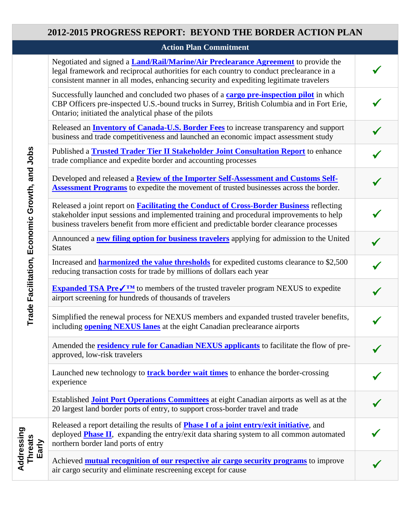## **2012-2015 PROGRESS REPORT: BEYOND THE BORDER ACTION PLAN**

**Action Plan Commitment**

| Trade Facilitation, Economic Growth, and Jobs | Negotiated and signed a <b>Land/Rail/Marine/Air Preclearance Agreement</b> to provide the<br>legal framework and reciprocal authorities for each country to conduct preclearance in a<br>consistent manner in all modes, enhancing security and expediting legitimate travelers        |  |
|-----------------------------------------------|----------------------------------------------------------------------------------------------------------------------------------------------------------------------------------------------------------------------------------------------------------------------------------------|--|
|                                               | Successfully launched and concluded two phases of a <b>cargo pre-inspection pilot</b> in which<br>CBP Officers pre-inspected U.S.-bound trucks in Surrey, British Columbia and in Fort Erie,<br>Ontario; initiated the analytical phase of the pilots                                  |  |
|                                               | Released an <b>Inventory of Canada-U.S. Border Fees</b> to increase transparency and support<br>business and trade competitiveness and launched an economic impact assessment study                                                                                                    |  |
|                                               | Published a <b>Trusted Trader Tier II Stakeholder Joint Consultation Report</b> to enhance<br>trade compliance and expedite border and accounting processes                                                                                                                            |  |
|                                               | Developed and released a <b>Review of the Importer Self-Assessment and Customs Self-</b><br><b>Assessment Programs</b> to expedite the movement of trusted businesses across the border.                                                                                               |  |
|                                               | Released a joint report on <b>Facilitating the Conduct of Cross-Border Business</b> reflecting<br>stakeholder input sessions and implemented training and procedural improvements to help<br>business travelers benefit from more efficient and predictable border clearance processes |  |
|                                               | Announced a new filing option for business travelers applying for admission to the United<br><b>States</b>                                                                                                                                                                             |  |
|                                               | Increased and <b>harmonized the value thresholds</b> for expedited customs clearance to \$2,500<br>reducing transaction costs for trade by millions of dollars each year                                                                                                               |  |
|                                               | <b>Expanded TSA Pre<math>\sqrt{\ }</math></b> to members of the trusted traveler program NEXUS to expedite<br>airport screening for hundreds of thousands of travelers                                                                                                                 |  |
|                                               | Simplified the renewal process for NEXUS members and expanded trusted traveler benefits,<br>including <b>opening NEXUS</b> lanes at the eight Canadian preclearance airports                                                                                                           |  |
|                                               | Amended the <b>residency rule for Canadian NEXUS</b> applicants to facilitate the flow of pre-<br>approved, low-risk travelers                                                                                                                                                         |  |
|                                               | Launched new technology to <b>track border wait times</b> to enhance the border-crossing<br>experience                                                                                                                                                                                 |  |
|                                               | Established <b>Joint Port Operations Committees</b> at eight Canadian airports as well as at the<br>20 largest land border ports of entry, to support cross-border travel and trade                                                                                                    |  |
| Addressing<br>Threats<br>Early                | Released a report detailing the results of <b>Phase I of a joint entry/exit initiative</b> , and<br>deployed <b>Phase II</b> , expanding the entry/exit data sharing system to all common automated<br>northern border land ports of entry                                             |  |
|                                               | Achieved <b>mutual recognition of our respective air cargo security programs</b> to improve<br>air cargo security and eliminate rescreening except for cause                                                                                                                           |  |